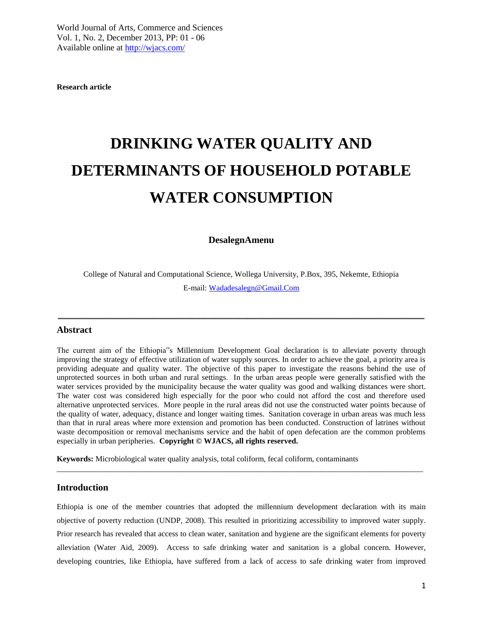**Research article**

# **DRINKING WATER QUALITY AND DETERMINANTS OF HOUSEHOLD POTABLE WATER CONSUMPTION**

# **DesalegnAmenu**

College of Natural and Computational Science, Wollega University, P.Box, 395, Nekemte, Ethiopia E-mail: [Wadadesalegn@Gmail.Com](mailto:wadadesalegn@gmail.com)

\_\_\_\_\_\_\_\_\_\_\_\_\_\_\_\_\_\_\_\_\_\_\_\_\_\_\_\_\_\_\_\_\_\_\_\_\_\_\_\_\_\_\_\_\_\_\_\_\_\_\_\_\_\_\_\_\_\_\_\_\_\_\_\_\_\_\_\_\_\_\_\_\_\_\_\_\_\_\_\_\_\_\_\_\_\_\_\_\_\_\_\_\_

#### **Abstract**

The current aim of the Ethiopia"s Millennium Development Goal declaration is to alleviate poverty through improving the strategy of effective utilization of water supply sources. In order to achieve the goal, a priority area is providing adequate and quality water. The objective of this paper to investigate the reasons behind the use of unprotected sources in both urban and rural settings. In the urban areas people were generally satisfied with the water services provided by the municipality because the water quality was good and walking distances were short. The water cost was considered high especially for the poor who could not afford the cost and therefore used alternative unprotected services. More people in the rural areas did not use the constructed water points because of the quality of water, adequacy, distance and longer waiting times. Sanitation coverage in urban areas was much less than that in rural areas where more extension and promotion has been conducted. Construction of latrines without waste decomposition or removal mechanisms service and the habit of open defecation are the common problems especially in urban peripheries. **Copyright © WJACS, all rights reserved.**

**Keywords:** Microbiological water quality analysis, total coliform, fecal coliform, contaminants

#### **Introduction**

Ethiopia is one of the member countries that adopted the millennium development declaration with its main objective of poverty reduction (UNDP, 2008). This resulted in prioritizing accessibility to improved water supply. Prior research has revealed that access to clean water, sanitation and hygiene are the significant elements for poverty alleviation (Water Aid, 2009). Access to safe drinking water and sanitation is a global concern. However, developing countries, like Ethiopia, have suffered from a lack of access to safe drinking water from improved

 $\_$  ,  $\_$  ,  $\_$  ,  $\_$  ,  $\_$  ,  $\_$  ,  $\_$  ,  $\_$  ,  $\_$  ,  $\_$  ,  $\_$  ,  $\_$  ,  $\_$  ,  $\_$  ,  $\_$  ,  $\_$  ,  $\_$  ,  $\_$  ,  $\_$  ,  $\_$  ,  $\_$  ,  $\_$  ,  $\_$  ,  $\_$  ,  $\_$  ,  $\_$  ,  $\_$  ,  $\_$  ,  $\_$  ,  $\_$  ,  $\_$  ,  $\_$  ,  $\_$  ,  $\_$  ,  $\_$  ,  $\_$  ,  $\_$  ,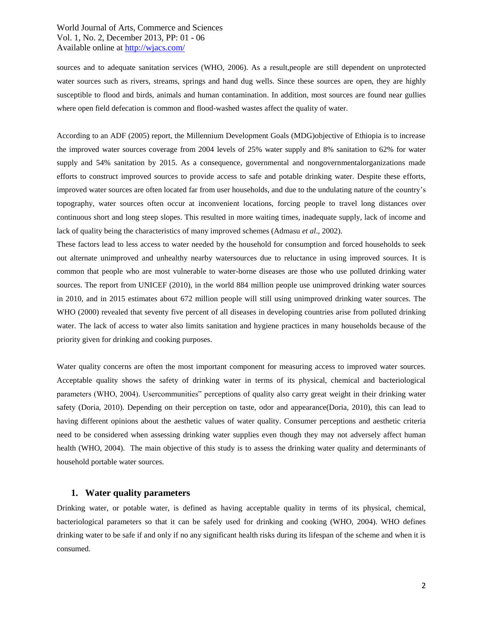sources and to adequate sanitation services (WHO, 2006). As a result,people are still dependent on unprotected water sources such as rivers, streams, springs and hand dug wells. Since these sources are open, they are highly susceptible to flood and birds, animals and human contamination. In addition, most sources are found near gullies where open field defecation is common and flood-washed wastes affect the quality of water.

According to an ADF (2005) report, the Millennium Development Goals (MDG)objective of Ethiopia is to increase the improved water sources coverage from 2004 levels of 25% water supply and 8% sanitation to 62% for water supply and 54% sanitation by 2015. As a consequence, governmental and nongovernmentalorganizations made efforts to construct improved sources to provide access to safe and potable drinking water. Despite these efforts, improved water sources are often located far from user households, and due to the undulating nature of the country's topography, water sources often occur at inconvenient locations, forcing people to travel long distances over continuous short and long steep slopes. This resulted in more waiting times, inadequate supply, lack of income and lack of quality being the characteristics of many improved schemes (Admasu *et al*., 2002).

These factors lead to less access to water needed by the household for consumption and forced households to seek out alternate unimproved and unhealthy nearby watersources due to reluctance in using improved sources. It is common that people who are most vulnerable to water-borne diseases are those who use polluted drinking water sources. The report from UNICEF (2010), in the world 884 million people use unimproved drinking water sources in 2010, and in 2015 estimates about 672 million people will still using unimproved drinking water sources. The WHO (2000) revealed that seventy five percent of all diseases in developing countries arise from polluted drinking water. The lack of access to water also limits sanitation and hygiene practices in many households because of the priority given for drinking and cooking purposes.

Water quality concerns are often the most important component for measuring access to improved water sources. Acceptable quality shows the safety of drinking water in terms of its physical, chemical and bacteriological parameters (WHO, 2004). Usercommunities" perceptions of quality also carry great weight in their drinking water safety (Doria, 2010). Depending on their perception on taste, odor and appearance(Doria, 2010), this can lead to having different opinions about the aesthetic values of water quality. Consumer perceptions and aesthetic criteria need to be considered when assessing drinking water supplies even though they may not adversely affect human health (WHO, 2004). The main objective of this study is to assess the drinking water quality and determinants of household portable water sources.

# **1. Water quality parameters**

Drinking water, or potable water, is defined as having acceptable quality in terms of its physical, chemical, bacteriological parameters so that it can be safely used for drinking and cooking (WHO, 2004). WHO defines drinking water to be safe if and only if no any significant health risks during its lifespan of the scheme and when it is consumed.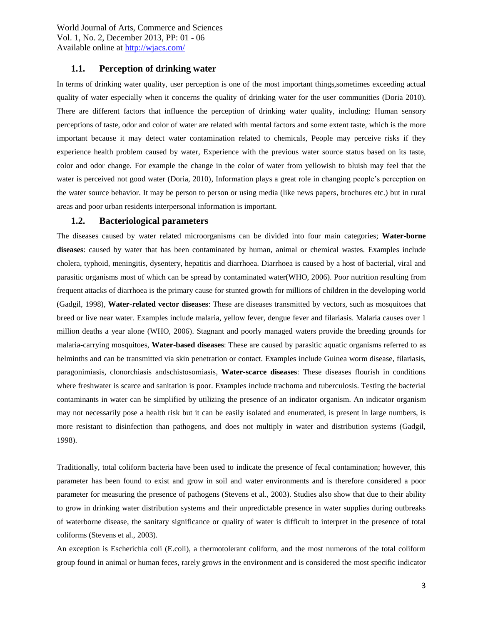# **1.1. Perception of drinking water**

In terms of drinking water quality, user perception is one of the most important things,sometimes exceeding actual quality of water especially when it concerns the quality of drinking water for the user communities (Doria 2010). There are different factors that influence the perception of drinking water quality, including: Human sensory perceptions of taste, odor and color of water are related with mental factors and some extent taste, which is the more important because it may detect water contamination related to chemicals, People may perceive risks if they experience health problem caused by water, Experience with the previous water source status based on its taste, color and odor change. For example the change in the color of water from yellowish to bluish may feel that the water is perceived not good water (Doria, 2010), Information plays a great role in changing people's perception on the water source behavior. It may be person to person or using media (like news papers, brochures etc.) but in rural areas and poor urban residents interpersonal information is important.

#### **1.2. Bacteriological parameters**

The diseases caused by water related microorganisms can be divided into four main categories; **Water-borne diseases**: caused by water that has been contaminated by human, animal or chemical wastes. Examples include cholera, typhoid, meningitis, dysentery, hepatitis and diarrhoea. Diarrhoea is caused by a host of bacterial, viral and parasitic organisms most of which can be spread by contaminated water(WHO, 2006). Poor nutrition resulting from frequent attacks of diarrhoea is the primary cause for stunted growth for millions of children in the developing world (Gadgil, 1998), **Water-related vector diseases**: These are diseases transmitted by vectors, such as mosquitoes that breed or live near water. Examples include malaria, yellow fever, dengue fever and filariasis. Malaria causes over 1 million deaths a year alone (WHO, 2006). Stagnant and poorly managed waters provide the breeding grounds for malaria-carrying mosquitoes, **Water-based diseases**: These are caused by parasitic aquatic organisms referred to as helminths and can be transmitted via skin penetration or contact. Examples include Guinea worm disease, filariasis, paragonimiasis, clonorchiasis andschistosomiasis, **Water-scarce diseases**: These diseases flourish in conditions where freshwater is scarce and sanitation is poor. Examples include trachoma and tuberculosis. Testing the bacterial contaminants in water can be simplified by utilizing the presence of an indicator organism. An indicator organism may not necessarily pose a health risk but it can be easily isolated and enumerated, is present in large numbers, is more resistant to disinfection than pathogens, and does not multiply in water and distribution systems (Gadgil, 1998).

Traditionally, total coliform bacteria have been used to indicate the presence of fecal contamination; however, this parameter has been found to exist and grow in soil and water environments and is therefore considered a poor parameter for measuring the presence of pathogens (Stevens et al., 2003). Studies also show that due to their ability to grow in drinking water distribution systems and their unpredictable presence in water supplies during outbreaks of waterborne disease, the sanitary significance or quality of water is difficult to interpret in the presence of total coliforms (Stevens et al., 2003).

An exception is Escherichia coli (E.coli), a thermotolerant coliform, and the most numerous of the total coliform group found in animal or human feces, rarely grows in the environment and is considered the most specific indicator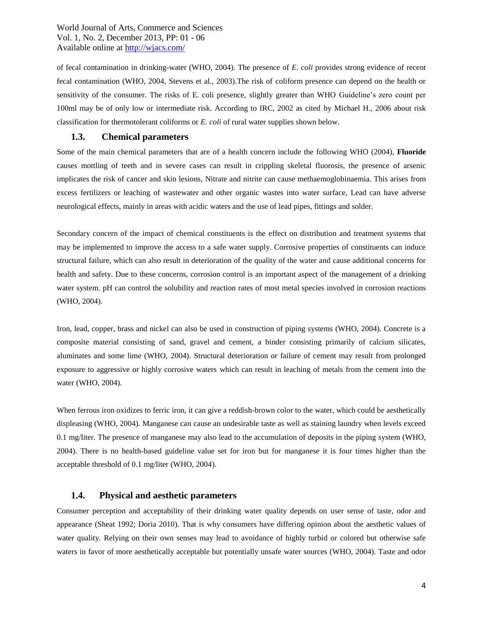of fecal contamination in drinking-water (WHO, 2004). The presence of *E. coli* provides strong evidence of recent fecal contamination (WHO, 2004, Stevens et al., 2003).The risk of coliform presence can depend on the health or sensitivity of the consumer. The risks of E. coli presence, slightly greater than WHO Guideline's zero count per 100ml may be of only low or intermediate risk. According to IRC, 2002 as cited by Michael H., 2006 about risk classification for thermotolerant coliforms or *E. coli* of rural water supplies shown below.

#### **1.3. Chemical parameters**

Some of the main chemical parameters that are of a health concern include the following WHO (2004), **Fluoride** causes mottling of teeth and in severe cases can result in crippling skeletal fluorosis, the presence of arsenic implicates the risk of cancer and skin lesions, Nitrate and nitrite can cause methaemoglobinaemia. This arises from excess fertilizers or leaching of wastewater and other organic wastes into water surface, Lead can have adverse neurological effects, mainly in areas with acidic waters and the use of lead pipes, fittings and solder.

Secondary concern of the impact of chemical constituents is the effect on distribution and treatment systems that may be implemented to improve the access to a safe water supply. Corrosive properties of constituents can induce structural failure, which can also result in deterioration of the quality of the water and cause additional concerns for health and safety. Due to these concerns, corrosion control is an important aspect of the management of a drinking water system. pH can control the solubility and reaction rates of most metal species involved in corrosion reactions (WHO, 2004).

Iron, lead, copper, brass and nickel can also be used in construction of piping systems (WHO, 2004). Concrete is a composite material consisting of sand, gravel and cement, a binder consisting primarily of calcium silicates, aluminates and some lime (WHO, 2004). Structural deterioration or failure of cement may result from prolonged exposure to aggressive or highly corrosive waters which can result in leaching of metals from the cement into the water (WHO, 2004).

When ferrous iron oxidizes to ferric iron, it can give a reddish-brown color to the water, which could be aesthetically displeasing (WHO, 2004). Manganese can cause an undesirable taste as well as staining laundry when levels exceed 0.1 mg/liter. The presence of manganese may also lead to the accumulation of deposits in the piping system (WHO, 2004). There is no health-based guideline value set for iron but for manganese it is four times higher than the acceptable threshold of 0.1 mg/liter (WHO, 2004).

# **1.4. Physical and aesthetic parameters**

Consumer perception and acceptability of their drinking water quality depends on user sense of taste, odor and appearance (Sheat 1992; Doria 2010). That is why consumers have differing opinion about the aesthetic values of water quality. Relying on their own senses may lead to avoidance of highly turbid or colored but otherwise safe waters in favor of more aesthetically acceptable but potentially unsafe water sources (WHO, 2004). Taste and odor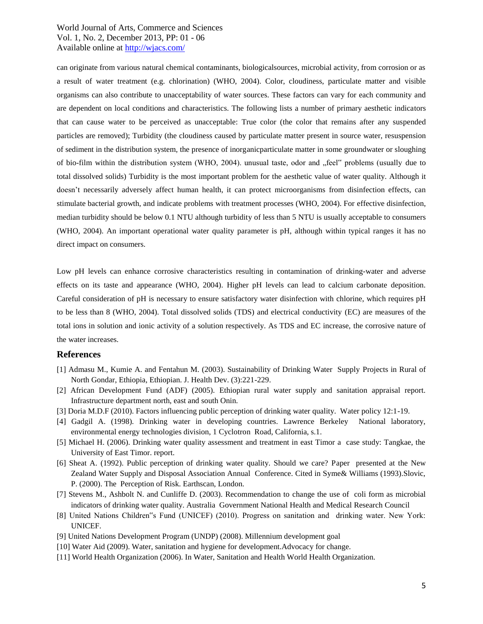can originate from various natural chemical contaminants, biologicalsources, microbial activity, from corrosion or as a result of water treatment (e.g. chlorination) (WHO, 2004). Color, cloudiness, particulate matter and visible organisms can also contribute to unacceptability of water sources. These factors can vary for each community and are dependent on local conditions and characteristics. The following lists a number of primary aesthetic indicators that can cause water to be perceived as unacceptable: True color (the color that remains after any suspended particles are removed); Turbidity (the cloudiness caused by particulate matter present in source water, resuspension of sediment in the distribution system, the presence of inorganicparticulate matter in some groundwater or sloughing of bio-film within the distribution system (WHO, 2004). unusual taste, odor and "feel" problems (usually due to total dissolved solids) Turbidity is the most important problem for the aesthetic value of water quality. Although it doesn't necessarily adversely affect human health, it can protect microorganisms from disinfection effects, can stimulate bacterial growth, and indicate problems with treatment processes (WHO, 2004). For effective disinfection, median turbidity should be below 0.1 NTU although turbidity of less than 5 NTU is usually acceptable to consumers (WHO, 2004). An important operational water quality parameter is pH, although within typical ranges it has no direct impact on consumers.

Low pH levels can enhance corrosive characteristics resulting in contamination of drinking-water and adverse effects on its taste and appearance (WHO, 2004). Higher pH levels can lead to calcium carbonate deposition. Careful consideration of pH is necessary to ensure satisfactory water disinfection with chlorine, which requires pH to be less than 8 (WHO, 2004). Total dissolved solids (TDS) and electrical conductivity (EC) are measures of the total ions in solution and ionic activity of a solution respectively. As TDS and EC increase, the corrosive nature of the water increases.

#### **References**

- [1] Admasu M., Kumie A. and Fentahun M. (2003). Sustainability of Drinking Water Supply Projects in Rural of North Gondar, Ethiopia, Ethiopian. J. Health Dev. (3):221-229.
- [2] African Development Fund (ADF) (2005). Ethiopian rural water supply and sanitation appraisal report. Infrastructure department north, east and south Onin.
- [3] Doria M.D.F (2010). Factors influencing public perception of drinking water quality. Water policy 12:1-19.
- [4] Gadgil A. (1998). Drinking water in developing countries. Lawrence Berkeley National laboratory, environmental energy technologies division, 1 Cyclotron Road, California, s.1.
- [5] Michael H. (2006). Drinking water quality assessment and treatment in east Timor a case study: Tangkae, the University of East Timor. report.
- [6] Sheat A. (1992). Public perception of drinking water quality. Should we care? Paper presented at the New Zealand Water Supply and Disposal Association Annual Conference. Cited in Syme& Williams (1993).Slovic, P. (2000). The Perception of Risk. Earthscan, London.
- [7] Stevens M., Ashbolt N. and Cunliffe D. (2003). Recommendation to change the use of coli form as microbial indicators of drinking water quality. Australia Government National Health and Medical Research Council
- [8] United Nations Children"s Fund (UNICEF) (2010). Progress on sanitation and drinking water. New York: UNICEF.
- [9] United Nations Development Program (UNDP) (2008). Millennium development goal
- [10] Water Aid (2009). Water, sanitation and hygiene for development.Advocacy for change.
- [11] World Health Organization (2006). In Water, Sanitation and Health World Health Organization.